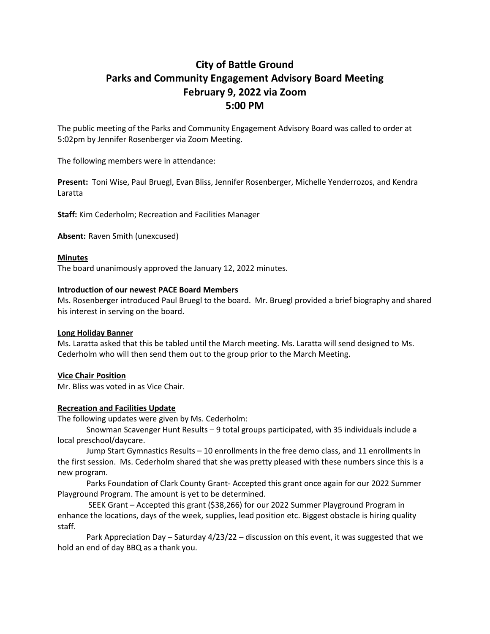# **City of Battle Ground Parks and Community Engagement Advisory Board Meeting February 9, 2022 via Zoom 5:00 PM**

The public meeting of the Parks and Community Engagement Advisory Board was called to order at 5:02pm by Jennifer Rosenberger via Zoom Meeting.

The following members were in attendance:

**Present:** Toni Wise, Paul Bruegl, Evan Bliss, Jennifer Rosenberger, Michelle Yenderrozos, and Kendra Laratta

**Staff:** Kim Cederholm; Recreation and Facilities Manager

**Absent:** Raven Smith (unexcused)

# **Minutes**

The board unanimously approved the January 12, 2022 minutes.

### **Introduction of our newest PACE Board Members**

Ms. Rosenberger introduced Paul Bruegl to the board. Mr. Bruegl provided a brief biography and shared his interest in serving on the board.

# **Long Holiday Banner**

Ms. Laratta asked that this be tabled until the March meeting. Ms. Laratta will send designed to Ms. Cederholm who will then send them out to the group prior to the March Meeting.

# **Vice Chair Position**

Mr. Bliss was voted in as Vice Chair.

# **Recreation and Facilities Update**

The following updates were given by Ms. Cederholm:

Snowman Scavenger Hunt Results – 9 total groups participated, with 35 individuals include a local preschool/daycare.

Jump Start Gymnastics Results – 10 enrollments in the free demo class, and 11 enrollments in the first session. Ms. Cederholm shared that she was pretty pleased with these numbers since this is a new program.

Parks Foundation of Clark County Grant- Accepted this grant once again for our 2022 Summer Playground Program. The amount is yet to be determined.

SEEK Grant – Accepted this grant (\$38,266) for our 2022 Summer Playground Program in enhance the locations, days of the week, supplies, lead position etc. Biggest obstacle is hiring quality staff.

Park Appreciation Day – Saturday 4/23/22 – discussion on this event, it was suggested that we hold an end of day BBQ as a thank you.